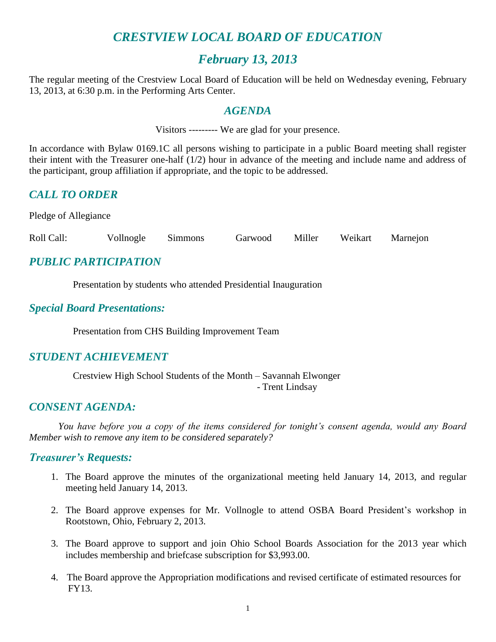## *CRESTVIEW LOCAL BOARD OF EDUCATION*

## *February 13, 2013*

The regular meeting of the Crestview Local Board of Education will be held on Wednesday evening, February 13, 2013, at 6:30 p.m. in the Performing Arts Center.

#### *AGENDA*

Visitors --------- We are glad for your presence.

In accordance with Bylaw 0169.1C all persons wishing to participate in a public Board meeting shall register their intent with the Treasurer one-half (1/2) hour in advance of the meeting and include name and address of the participant, group affiliation if appropriate, and the topic to be addressed.

## *CALL TO ORDER*

Pledge of Allegiance

Roll Call: Vollnogle Simmons Garwood Miller Weikart Marnejon

### *PUBLIC PARTICIPATION*

Presentation by students who attended Presidential Inauguration

#### *Special Board Presentations:*

Presentation from CHS Building Improvement Team

### *STUDENT ACHIEVEMENT*

Crestview High School Students of the Month – Savannah Elwonger - Trent Lindsay

### *CONSENT AGENDA:*

*You have before you a copy of the items considered for tonight's consent agenda, would any Board Member wish to remove any item to be considered separately?*

#### *Treasurer's Requests:*

- 1. The Board approve the minutes of the organizational meeting held January 14, 2013, and regular meeting held January 14, 2013.
- 2. The Board approve expenses for Mr. Vollnogle to attend OSBA Board President's workshop in Rootstown, Ohio, February 2, 2013.
- 3. The Board approve to support and join Ohio School Boards Association for the 2013 year which includes membership and briefcase subscription for \$3,993.00.
- 4. The Board approve the Appropriation modifications and revised certificate of estimated resources for FY13.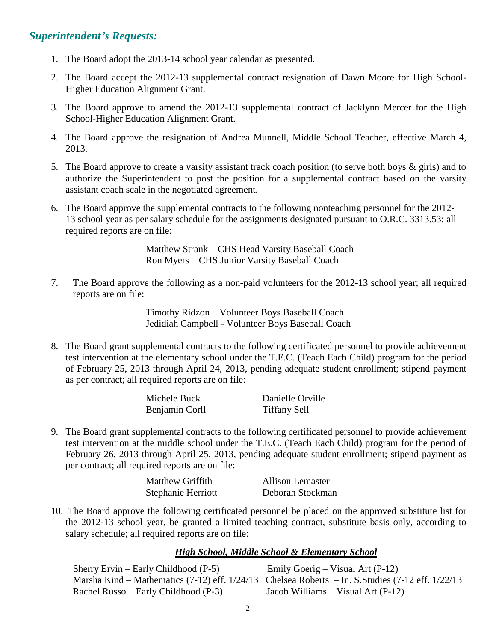#### *Superintendent's Requests:*

- 1. The Board adopt the 2013-14 school year calendar as presented.
- 2. The Board accept the 2012-13 supplemental contract resignation of Dawn Moore for High School-Higher Education Alignment Grant.
- 3. The Board approve to amend the 2012-13 supplemental contract of Jacklynn Mercer for the High School-Higher Education Alignment Grant.
- 4. The Board approve the resignation of Andrea Munnell, Middle School Teacher, effective March 4, 2013.
- 5. The Board approve to create a varsity assistant track coach position (to serve both boys & girls) and to authorize the Superintendent to post the position for a supplemental contract based on the varsity assistant coach scale in the negotiated agreement.
- 6. The Board approve the supplemental contracts to the following nonteaching personnel for the 2012- 13 school year as per salary schedule for the assignments designated pursuant to O.R.C. 3313.53; all required reports are on file:

Matthew Strank – CHS Head Varsity Baseball Coach Ron Myers – CHS Junior Varsity Baseball Coach

7. The Board approve the following as a non-paid volunteers for the 2012-13 school year; all required reports are on file:

> Timothy Ridzon – Volunteer Boys Baseball Coach Jedidiah Campbell - Volunteer Boys Baseball Coach

8. The Board grant supplemental contracts to the following certificated personnel to provide achievement test intervention at the elementary school under the T.E.C. (Teach Each Child) program for the period of February 25, 2013 through April 24, 2013, pending adequate student enrollment; stipend payment as per contract; all required reports are on file:

| Michele Buck   | Danielle Orville    |
|----------------|---------------------|
| Benjamin Corll | <b>Tiffany Sell</b> |

9. The Board grant supplemental contracts to the following certificated personnel to provide achievement test intervention at the middle school under the T.E.C. (Teach Each Child) program for the period of February 26, 2013 through April 25, 2013, pending adequate student enrollment; stipend payment as per contract; all required reports are on file:

| <b>Matthew Griffith</b> | Allison Lemaster |
|-------------------------|------------------|
| Stephanie Herriott      | Deborah Stockman |

10. The Board approve the following certificated personnel be placed on the approved substitute list for the 2012-13 school year, be granted a limited teaching contract, substitute basis only, according to salary schedule; all required reports are on file:

#### *High School, Middle School & Elementary School*

| Sherry Ervin – Early Childhood $(P-5)$ | Emily Goerig – Visual Art $(P-12)$                                                               |
|----------------------------------------|--------------------------------------------------------------------------------------------------|
|                                        | Marsha Kind – Mathematics (7-12) eff. 1/24/13 Chelsea Roberts – In. S.Studies (7-12 eff. 1/22/13 |
| Rachel Russo – Early Childhood (P-3)   | Jacob Williams – Visual Art $(P-12)$                                                             |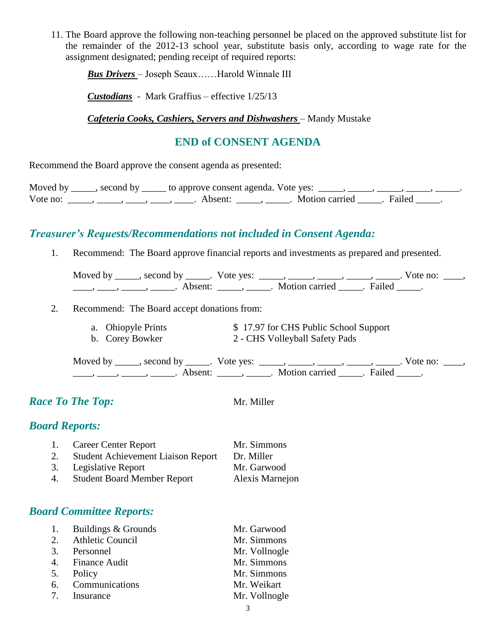11. The Board approve the following non-teaching personnel be placed on the approved substitute list for the remainder of the 2012-13 school year, substitute basis only, according to wage rate for the assignment designated; pending receipt of required reports:

*Bus Drivers* – Joseph Seaux……Harold Winnale III

*Custodians* - Mark Graffius – effective 1/25/13

*Cafeteria Cooks, Cashiers, Servers and Dishwashers* – Mandy Mustake

### **END of CONSENT AGENDA**

Recommend the Board approve the consent agenda as presented:

| Moved by | ______, second by ______ to approve consent agenda. Vote yes: |                         |  |
|----------|---------------------------------------------------------------|-------------------------|--|
| Vote no: | Absent:                                                       | Motion carried . Failed |  |

## *Treasurer's Requests/Recommendations not included in Consent Agenda:*

1. Recommend: The Board approve financial reports and investments as prepared and presented.

| Moved by | second by           | Vote ves: |                |        | $\sqrt{\circ}$ te no: |  |
|----------|---------------------|-----------|----------------|--------|-----------------------|--|
|          | Absent <sup>.</sup> |           | Motion carried | Failed |                       |  |

- 2. Recommend: The Board accept donations from:
	- a. Ohiopyle Prints  $$ 17.97$  for CHS Public School Support<br>b. Corey Bowker  $$ 2$  CHS Volleyball Safety Pads
		- 2 CHS Volleyball Safety Pads

Moved by \_\_\_\_\_, second by \_\_\_\_\_. Vote yes:  $\frac{1}{\sqrt{2}}$ , \_\_\_\_, \_\_\_\_, \_\_\_\_, \_\_\_\_. Vote no: \_\_\_, \_\_\_\_\_, \_\_\_\_\_\_, \_\_\_\_\_\_\_. Absent: \_\_\_\_\_\_, \_\_\_\_\_\_. Motion carried \_\_\_\_\_\_. Failed \_\_\_\_\_.

### *Race To The Top:* Mr. Miller

## *Board Reports:*

1. Career Center Report Mr. Simmons 2. Student Achievement Liaison Report Dr. Miller 3. Legislative Report Mr. Garwood 4. Student Board Member Report Alexis Marnejon

## *Board Committee Reports:*

| 1. Buildings & Grounds | Mr. Garwood   |
|------------------------|---------------|
| 2. Athletic Council    | Mr. Simmons   |
| 3. Personnel           | Mr. Vollnogle |
| 4. Finance Audit       | Mr. Simmons   |
| 5. Policy              | Mr. Simmons   |
| 6. Communications      | Mr. Weikart   |
| 7. Insurance           | Mr. Vollnogle |
|                        |               |